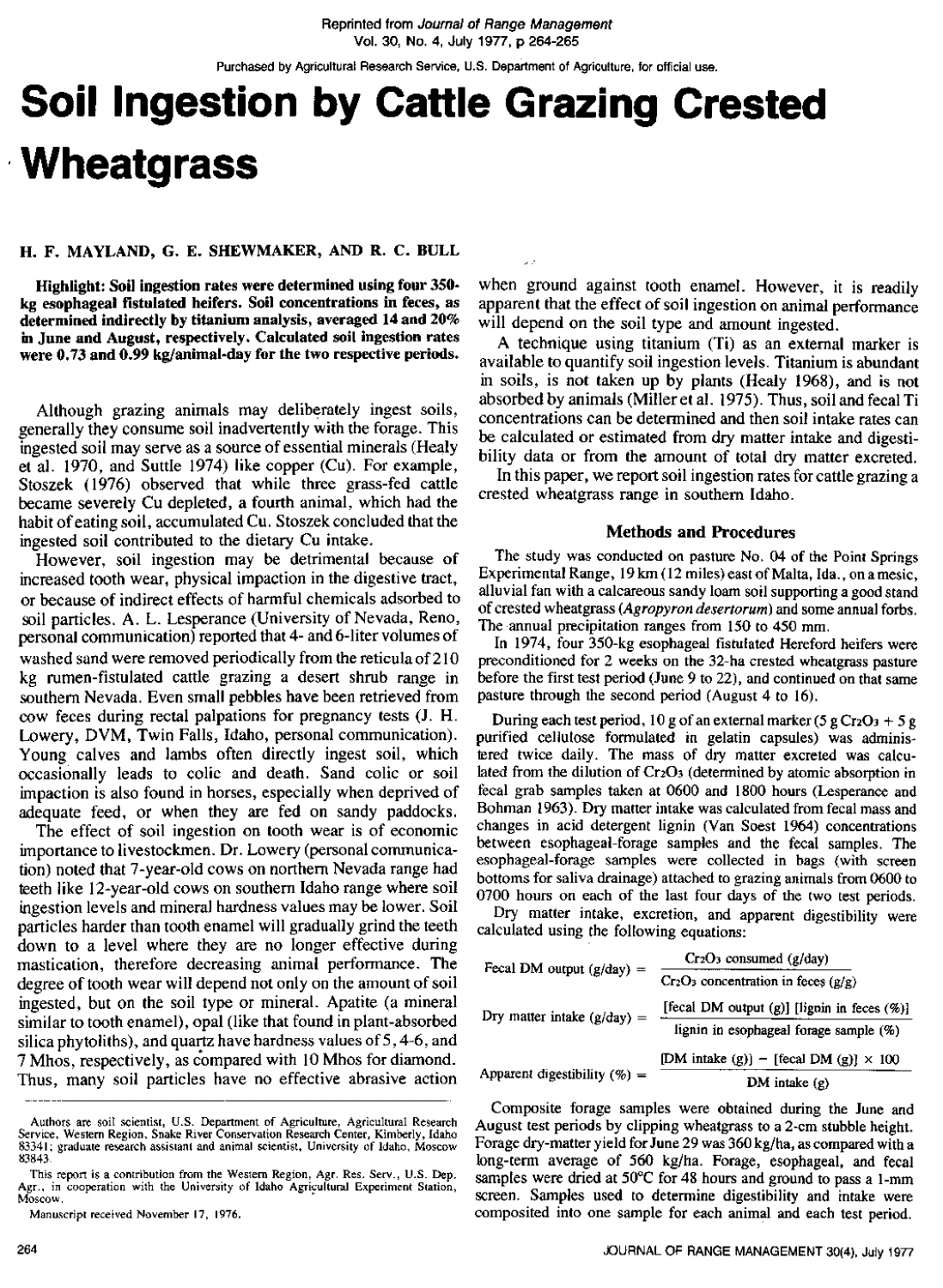Purchased by Agricultural Research Service, U.S. Department of Agriculture, for official use.

# **Soil Ingestion by Cattle Grazing Crested Wheatgrass**

### **H. F. MAYLAND, G. E. SHEWMAKER, AND R. C. BULL**

**Highlight: Soil ingestion rates were determined using four 350 kg esophageal fistulated heifers. Soil concentrations in feces, as determined indirectly by titanium analysis, averaged 14 and 20% in June and August, respectively. Calculated soil ingestion rates were 0.73 and 0.99 kg/animal-day for the two respective periods.**

Although grazing animals may deliberately ingest soils, generally they consume soil inadvertently with the forage. This ingested soil may serve as a source of essential minerals (Healy et al. 1970, and Suttle 1974) like copper (Cu). For example, Stoszek (1976) observed that while three grass-fed cattle became severely Cu depleted, a fourth animal, which had the habit of eating soil, accumulated Cu. Stoszek concluded that the ingested soil contributed to the dietary Cu intake.

However, soil ingestion may be detrimental because of increased tooth wear, physical impaction in the digestive tract, or because of indirect effects of harmful chemicals adsorbed to soil particles. A. L. Lesperance (University of Nevada, Reno, personal communication) reported that 4- and 6-liter volumes of washed sand were removed periodically from the reticula of 210 kg rumen-fistulated cattle grazing a desert shrub range in southern Nevada. Even small pebbles have been retrieved from cow feces during rectal palpations for pregnancy tests (J. H. Lowery, DVM, Twin Falls, Idaho, personal communication). Young calves and lambs often directly ingest soil, which occasionally leads to colic and death. Sand colic or soil impaction is also found in horses, especially when deprived of adequate feed, or when they are fed on sandy paddocks.

The effect of soil ingestion on tooth wear is of economic importance to livestockmen. Dr. Lowery (personal communication) noted that 7-year-old cows on northern Nevada range had teeth like 12-year-old cows on southern Idaho range where soil ingestion levels and mineral hardness values may be lower. Soil particles harder than tooth enamel will gradually grind the teeth down to a level where they are no longer effective during mastication, therefore decreasing animal performance. The degree of tooth wear will depend not only on the amount of soil ingested, but on the soil type or mineral. Apatite (a mineral similar to tooth enamel), opal (like that found in plant-absorbed silica phytoliths), and quartz have hardness values of 5,4-6, and 7 Mhos, respectively, as compared with 10 Mhos for diamond. Thus, many soil particles have no effective abrasive action

when ground against tooth enamel. However, it is readily apparent that the effect of soil ingestion on animal performance will depend on the soil type and amount ingested.

A technique using titanium (Ti) as an external marker is available to quantify soil ingestion levels. Titanium is abundant in soils, is not taken up by plants (Healy 1968), and is not absorbed by animals (Miller et al. 1975). Thus, soil and fecal Ti concentrations can be determined and then soil intake rates can be calculated or estimated from dry matter intake and digestibility data or from the amount of total dry matter excreted.

In this paper, we report soil ingestion rates for cattle grazing a crested wheatgrass range in southern Idaho.

### **Methods and Procedures**

The study was conducted on pasture No. 04 of the Point Springs Experimental Range, 19 km (12 miles) east of Malta, Ida. , on a mesic , alluvial fan with a calcareous sandy loam soil supporting a good stand of crested wheatgrass *(Agropyron* desertorum) and some annual fortis. The annual precipitation ranges from 150 to 450 mm.

In 1974, four 350-kg esophageal fistulated Hereford heifers were preconditioned for 2 weeks on the 32-ha crested wheatgrass pasture before the first test period (June 9 to 22), and continued on that same pasture through the second period (August 4 to 16).

During each test period, 10 g of an external marker (5 g Cr2O3 + 5 g purified cellulose formulated in gelatin capsules) was administered twice daily. The mass of dry matter excreted was calculated from the dilution of Cr203 (determined by atomic absorption in fecal grab samples taken at 0600 and 1800 hours (Lesperance and Bohman 1963). Dry matter intake was calculated from fecal mass and changes in acid detergent lignin (Van Soest 1964) concentrations between esophageal-forage samples and the fecal samples. The esophageal-forage samples were collected in bags (with screen bottoms for saliva drainage) attached to grazing animals from 0600 to 0700 hours on each of the last four days of the two test periods.

Dry matter intake, excretion, and apparent digestibility were calculated using the following equations:

| Fecal DM output $(g/day)$ =     | $Cr_2O_3$ consumed $(g/day)$                    |
|---------------------------------|-------------------------------------------------|
|                                 | $Cr_2O_3$ concentration in feces ( $g/g$ )      |
| Dry matter intake $(g/day) =$   | [fecal DM output (g)] [lignin in feces (%)]     |
|                                 | lignin in esophageal forage sample (%)          |
| Apparent digestibility $(\%) =$ | [DM intake (g)] $-$ [fecal DM (g)] $\times$ 100 |
|                                 | DM intake $(g)$                                 |

Composite forage samples were obtained during the June and August test periods by clipping wheatgrass to a 2-cm stubble height. Forage dry-matter yield for June 29 was 360 kg/ha, as compared with a long-term average of 560 kg/ha. Forage, esophageal, and fecal samples were dried at 50°C for 48 hours and ground to pass a 1-mm screen. Samples used to determine digestibility and intake were composited into one sample for each animal and each test period.

Authors are soil scientist, U.S. Department of Agriculture, Agricultural Research Service, Western Region. Snake River Conservation Research Center, Kimberly, Idaho 83341; graduate research assistant and animal scientist, University of Idaho, Moscow 83843.

This report is a contribution from the Western Region, Agr. Res. Serv., U.S. Dep. Agr., in cooperation with the University of Idaho Agricultural Experiment Station, Moscow.

Manuscript received November 17, 1976.